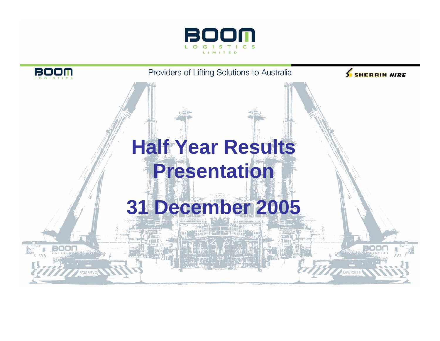

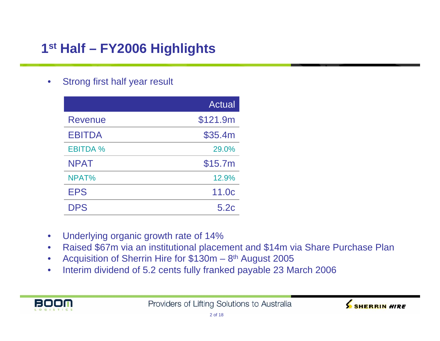# **1st Half – FY2006 Highlights**

 $\bullet$ Strong first half year result

|                 | <b>Actual</b>     |
|-----------------|-------------------|
| Revenue         | \$121.9m          |
| <b>EBITDA</b>   | \$35.4m           |
| <b>EBITDA %</b> | 29.0%             |
| <b>NPAT</b>     | \$15.7m           |
| NPAT%           | 12.9%             |
| <b>EPS</b>      | 11.0 <sub>c</sub> |
| <b>DPS</b>      | 5.2c              |

- $\bullet$ Underlying organic growth rate of 14%
- $\bullet$ Raised \$67m via an institutional placement and \$14m via Share Purchase Plan
- $\bullet$ Acquisition of Sherrin Hire for \$130m - 8<sup>th</sup> August 2005
- $\bullet$ Interim dividend of 5.2 cents fully franked payable 23 March 2006



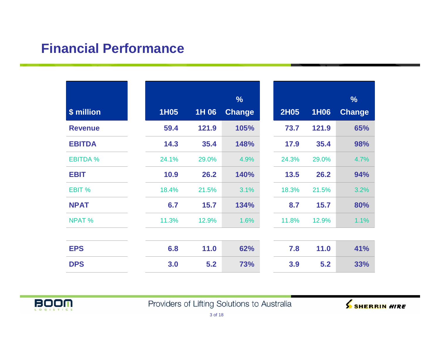### **Financial Performance**

|                 |             |       | $\frac{9}{6}$ |
|-----------------|-------------|-------|---------------|
| \$ million      | <b>1H05</b> | 1H 06 | <b>Change</b> |
| <b>Revenue</b>  | 59.4        | 121.9 | 105%          |
| <b>EBITDA</b>   | 14.3        | 35.4  | 148%          |
| <b>EBITDA %</b> | 24.1%       | 29.0% | 4.9%          |
| <b>EBIT</b>     | 10.9        | 26.2  | 140%          |
| EBIT %          | 18.4%       | 21.5% | 3.1%          |
| <b>NPAT</b>     | 6.7         | 15.7  | 134%          |
| <b>NPAT %</b>   | 11.3%       | 12.9% | 1.6%          |
|                 |             |       |               |
| <b>EPS</b>      | 6.8         | 11.0  | 62%           |
| <b>DPS</b>      | 3.0         | 5.2   | 73%           |



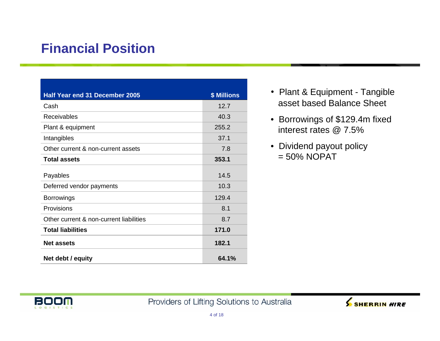## **Financial Position**

| Half Year end 31 December 2005          | <b>\$ Millions</b> |
|-----------------------------------------|--------------------|
| Cash                                    | 12.7               |
| <b>Receivables</b>                      | 40.3               |
| Plant & equipment                       | 255.2              |
| Intangibles                             | 37.1               |
| Other current & non-current assets      | 7.8                |
| <b>Total assets</b>                     | 353.1              |
| Payables                                | 14.5               |
| Deferred vendor payments                | 10.3               |
| <b>Borrowings</b>                       | 129.4              |
| Provisions                              | 8.1                |
| Other current & non-current liabilities | 8.7                |
| <b>Total liabilities</b>                | 171.0              |
| <b>Net assets</b>                       | 182.1              |
| Net debt / equity                       | 64.1%              |

- Plant & Equipment Tangible asset based Balance Sheet
- Borrowings of \$129.4m fixed interest rates @ 7.5%
- Dividend payout policy  $= 50\%$  NOPAT



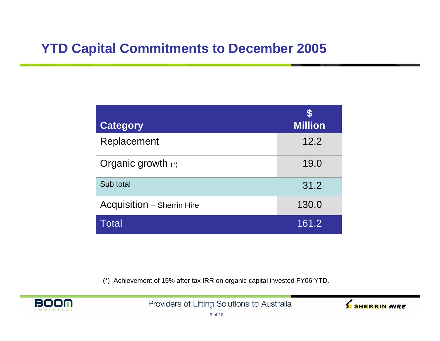### **YTD Capital Commitments to December 2005**

| <b>Category</b>                   | <b>Million</b> |
|-----------------------------------|----------------|
| Replacement                       | 12.2           |
| Organic growth (*)                | 19.0           |
| Sub total                         | 31.2           |
| <b>Acquisition - Sherrin Hire</b> | 130.0          |
| Total                             | 161.2          |

(\*) Achievement of 15% after tax IRR on organic capital invested FY06 YTD.



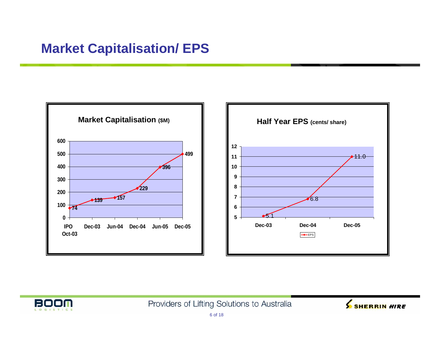## **Market Capitalisation/ EPS**





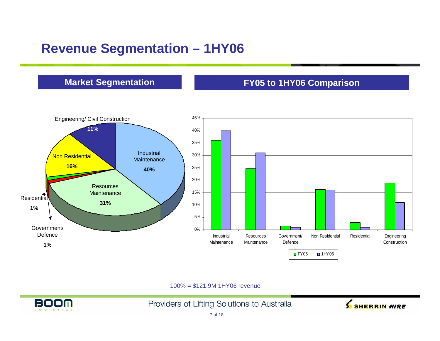## **Revenue Segmentation – 1HY06**

### **Market Segmentation**

### **FY05 to 1HY06 Comparison**



100% = \$121.9M 1HY06 revenue



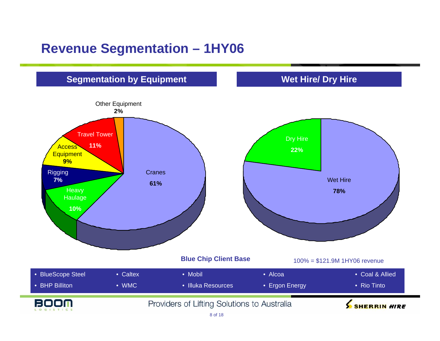### **Revenue Segmentation – 1HY06**

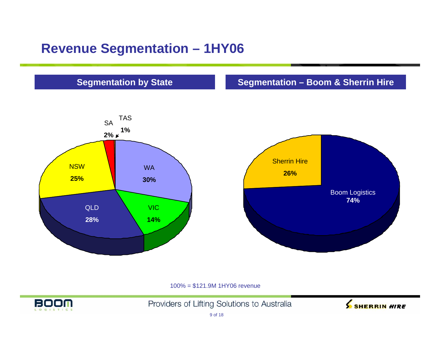### **Revenue Segmentation – 1HY06**

### **Segmentation by State**

### **Segmentation – Boom & Sherrin Hire**





100% = \$121.9M 1HY06 revenue



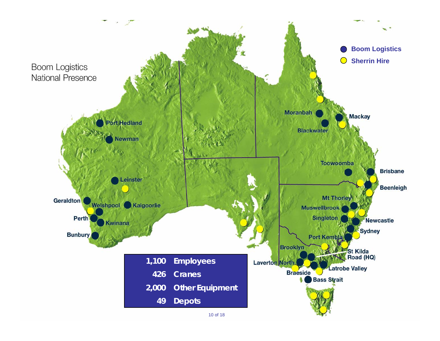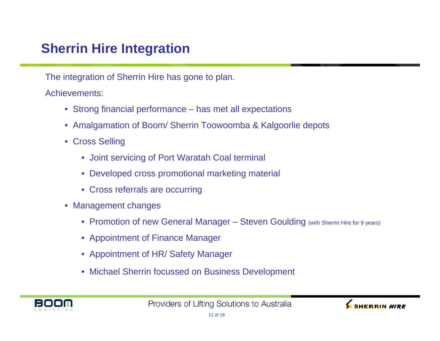## **Sherrin Hire Integration**

The integration of Sherrin Hire has gone to plan.

Achievements:

- Strong financial performance has met all expectations
- Amalgamation of Boom/ Sherrin Toowoomba & Kalgoorlie depots
- Cross Selling
	- Joint servicing of Port Waratah Coal terminal
	- Developed cross promotional marketing material
	- Cross referrals are occurring
- Management changes
	- Promotion of new General Manager Steven Goulding (with Sherrin Hire for 9 years)
	- Appointment of Finance Manager
	- Appointment of HR/ Safety Manager
	- Michael Sherrin focussed on Business Development



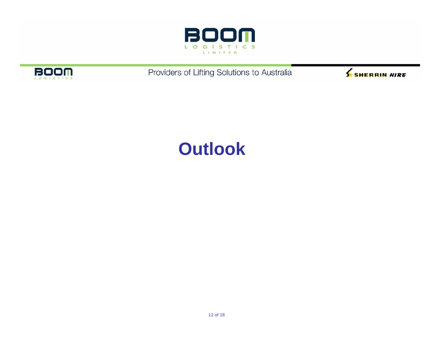



Providers of Lifting Solutions to Australia



# **Outlook**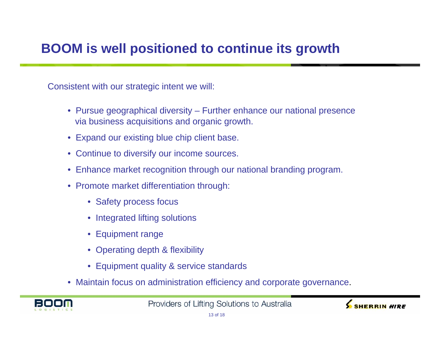## **BOOM is well positioned to continue its growth**

Consistent with our strategic intent we will:

- Pursue geographical diversity Further enhance our national presence via business acquisitions and organic growth.
- Expand our existing blue chip client base.
- Continue to diversify our income sources.
- Enhance market recognition through our national branding program.
- Promote market differentiation through:
	- Safety process focus
	- Integrated lifting solutions
	- Equipment range
	- Operating depth & flexibility
	- Equipment quality & service standards
- Maintain focus on administration efficiency and corporate governance.



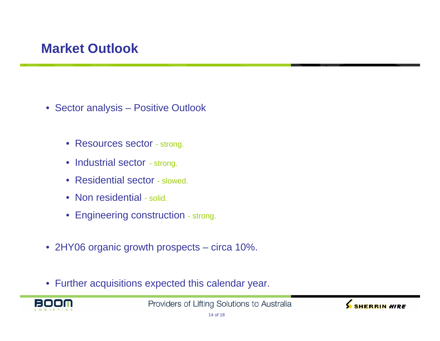## **Market Outlook**

- Sector analysis Positive Outlook
	- Resources sector strong.
	- Industrial sector strong.
	- Residential sector slowed.
	- Non residential solid.
	- Engineering construction strong.
- 2HY06 organic growth prospects circa 10%.
- Further acquisitions expected this calendar year.



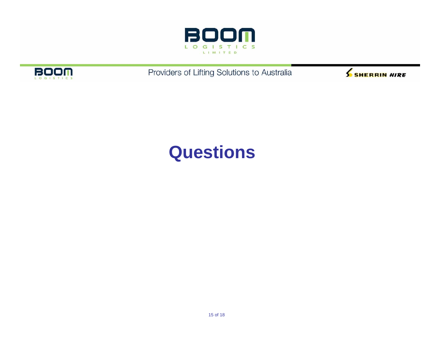



Providers of Lifting Solutions to Australia



# **Questions**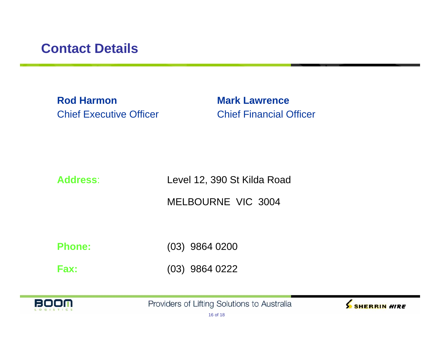### **Contact Details**

**Rod Harmon Mark Lawrence**Chief Executive Officer Chief Financial Officer

### **Address**:

Level 12, 390 St Kilda Road

MELBOURNE VIC 3004

**Phone:**

(03) 9864 0200

**Fax:**(03) 9864 0222



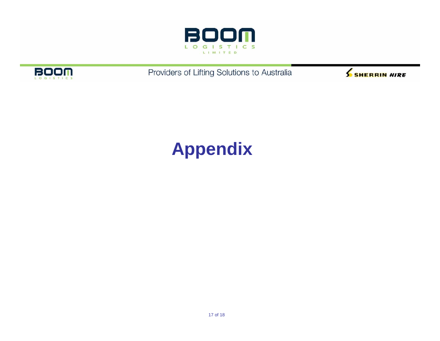



Providers of Lifting Solutions to Australia



# **Appendix**